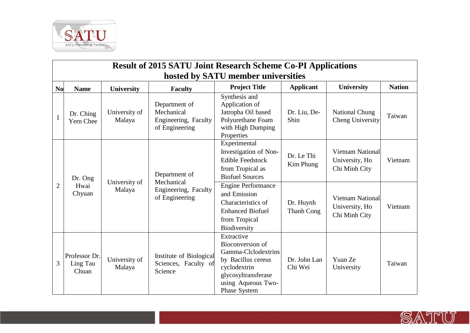

|                | <b>Result of 2015 SATU Joint Research Scheme Co-PI Applications</b> |                         |                                                                       |                                                                                                                                                          |                         |                                                            |               |  |
|----------------|---------------------------------------------------------------------|-------------------------|-----------------------------------------------------------------------|----------------------------------------------------------------------------------------------------------------------------------------------------------|-------------------------|------------------------------------------------------------|---------------|--|
|                | hosted by SATU member universities                                  |                         |                                                                       |                                                                                                                                                          |                         |                                                            |               |  |
| <b>No</b>      | <b>Name</b>                                                         | <b>University</b>       | <b>Faculty</b>                                                        | <b>Project Title</b>                                                                                                                                     | <b>Applicant</b>        | <b>University</b>                                          | <b>Nation</b> |  |
| $\mathbf{1}$   | Dr. Ching<br>Yern Chee                                              | University of<br>Malaya | Department of<br>Mechanical<br>Engineering, Faculty<br>of Engineering | Synthesis and<br>Application of<br>Jatropha Oil based<br>Polyurethane Foam<br>with High Dumping<br>Properties                                            | Dr. Liu, De-<br>Shin    | National Chung<br>Cheng University                         | Taiwan        |  |
|                | Dr. Ong<br>Hwai<br>Chyuan                                           | University of<br>Malaya | Department of<br>Mechanical<br>Engineering, Faculty<br>of Engineering | Experimental<br>Investigation of Non-<br><b>Edible Feedstock</b><br>from Tropical as<br><b>Biofuel Sources</b>                                           | Dr. Le Thi<br>Kim Phung | <b>Vietnam National</b><br>University, Ho<br>Chi Minh City | Vietnam       |  |
| $\overline{2}$ |                                                                     |                         |                                                                       | <b>Engine Performance</b><br>and Emission<br>Characteristics of<br><b>Enhanced Biofuel</b><br>from Tropical<br>Biodiversity                              | Dr. Huynh<br>Thanh Cong | <b>Vietnam National</b><br>University, Ho<br>Chi Minh City | Vietnam       |  |
| 3              | Professor Dr.<br>Ling Tau<br>Chuan                                  | University of<br>Malaya | Institute of Biological<br>Sciences, Faculty of<br>Science            | Extractive<br>Bioconversion of<br>Gamma-Clclodextrins<br>by Bacillus cereus<br>cyclodextrin<br>glycosyltransferase<br>using Aqueous Two-<br>Phase System | Dr. John Lan<br>Chi Wei | Yuan Ze<br>University                                      | Taiwan        |  |

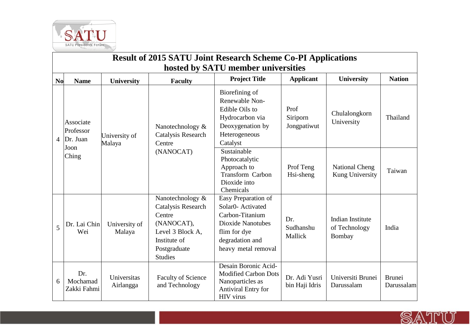

| <b>Result of 2015 SATU Joint Research Scheme Co-PI Applications</b><br>hosted by SATU member universities |                                                     |                          |                                                                                                                                      |                                                                                                                                                   |                                 |                                             |                             |  |
|-----------------------------------------------------------------------------------------------------------|-----------------------------------------------------|--------------------------|--------------------------------------------------------------------------------------------------------------------------------------|---------------------------------------------------------------------------------------------------------------------------------------------------|---------------------------------|---------------------------------------------|-----------------------------|--|
| <b>No</b>                                                                                                 | <b>Name</b>                                         | University               | <b>Faculty</b>                                                                                                                       | <b>Project Title</b>                                                                                                                              | <b>Applicant</b>                | University                                  | <b>Nation</b>               |  |
| 4                                                                                                         | Associate<br>Professor<br>Dr. Juan<br>Joon<br>Ching | University of<br>Malaya  | Nanotechnology &<br>Catalysis Research<br>Centre<br>(NANOCAT)                                                                        | Biorefining of<br>Renewable Non-<br>Edible Oils to<br>Hydrocarbon via<br>Deoxygenation by<br>Heterogeneous<br>Catalyst                            | Prof<br>Siriporn<br>Jongpatiwut | Chulalongkorn<br>University                 | Thailand                    |  |
|                                                                                                           |                                                     |                          |                                                                                                                                      | Sustainable<br>Photocatalytic<br>Approach to<br>Transform Carbon<br>Dioxide into<br>Chemicals                                                     | Prof Teng<br>Hsi-sheng          | <b>National Cheng</b><br>Kung University    | Taiwan                      |  |
| 5                                                                                                         | Dr. Lai Chin<br>Wei                                 | University of<br>Malaya  | Nanotechnology &<br>Catalysis Research<br>Centre<br>(NANOCAT),<br>Level 3 Block A,<br>Institute of<br>Postgraduate<br><b>Studies</b> | Easy Preparation of<br>Solar0- Activated<br>Carbon-Titanium<br><b>Dioxide Nanotubes</b><br>flim for dye<br>degradation and<br>heavy metal removal | Dr.<br>Sudhanshu<br>Mallick     | Indian Institute<br>of Technology<br>Bombay | India                       |  |
| 6                                                                                                         | Dr.<br>Mochamad<br>Zakki Fahmi                      | Universitas<br>Airlangga | <b>Faculty of Science</b><br>and Technology                                                                                          | Desain Boronic Acid-<br><b>Modified Carbon Dots</b><br>Nanoparticles as<br>Antiviral Entry for<br>HIV virus                                       | Dr. Adi Yusri<br>bin Haji Idris | Universiti Brunei<br>Darussalam             | <b>Brunei</b><br>Darussalam |  |